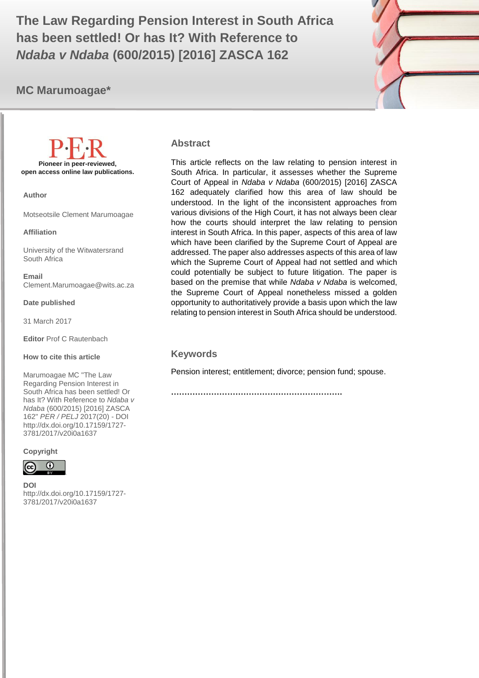MC MARUMOAGAE PER / PELJ 2017 (20) 1 **has been settled! Or has It? With Reference to The Law Regarding Pension Interest in South Africa**  *Ndaba v Ndaba* **(600/2015) [2016] ZASCA 162**

## **MC Marumoagae\***



**Pioneer in peer-reviewed, open access online law publications.**

**Author**

Motseotsile Clement Marumoagae

#### **Affiliation**

University of the Witwatersrand South Africa

**Email** Clement.Marumoagae@wits.ac.za

**Date published**

31 March 2017

**Editor** Prof C Rautenbach

**How to cite this article** 

Marumoagae MC "The Law Regarding Pension Interest in South Africa has been settled! Or has It? With Reference to *Ndaba v Ndaba* (600/2015) [2016] ZASCA 162" *PER / PELJ* 2017(20) - DOI http://dx.doi.org/10.17159/1727- 3781/2017/v20i0a[1637](http://journals.assaf.org.za/index.php/per/editor/submission/1160) 

**Copyright**



**DOI**  http://dx.doi.org/10.17159/1727- 3781/2017/v20i0a1[637](http://journals.assaf.org.za/index.php/per/editor/submission/1160)

#### **Abstract**

This article reflects on the law relating to pension interest in South Africa. In particular, it assesses whether the Supreme Court of Appeal in *Ndaba v Ndaba* (600/2015) [2016] ZASCA 162 adequately clarified how this area of law should be understood. In the light of the inconsistent approaches from various divisions of the High Court, it has not always been clear how the courts should interpret the law relating to pension interest in South Africa. In this paper, aspects of this area of law which have been clarified by the Supreme Court of Appeal are addressed. The paper also addresses aspects of this area of law which the Supreme Court of Appeal had not settled and which could potentially be subject to future litigation. The paper is based on the premise that while *Ndaba v Ndaba* is welcomed, the Supreme Court of Appeal nonetheless missed a golden opportunity to authoritatively provide a basis upon which the law relating to pension interest in South Africa should be understood.

#### **Keywords**

Pension interest; entitlement; divorce; pension fund; spouse.

**……………………………………………………….**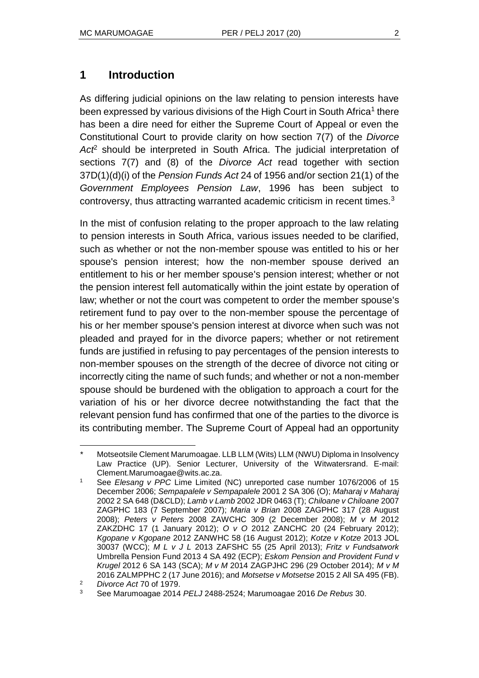## **1 Introduction**

As differing judicial opinions on the law relating to pension interests have been expressed by various divisions of the High Court in South Africa<sup>1</sup> there has been a dire need for either the Supreme Court of Appeal or even the Constitutional Court to provide clarity on how section 7(7) of the *Divorce Act*<sup>2</sup> should be interpreted in South Africa. The judicial interpretation of sections 7(7) and (8) of the *Divorce Act* read together with section 37D(1)(d)(i) of the *Pension Funds Act* 24 of 1956 and/or section 21(1) of the *Government Employees Pension Law*, 1996 has been subject to controversy, thus attracting warranted academic criticism in recent times.<sup>3</sup>

In the mist of confusion relating to the proper approach to the law relating to pension interests in South Africa, various issues needed to be clarified, such as whether or not the non-member spouse was entitled to his or her spouse's pension interest; how the non-member spouse derived an entitlement to his or her member spouse's pension interest; whether or not the pension interest fell automatically within the joint estate by operation of law; whether or not the court was competent to order the member spouse's retirement fund to pay over to the non-member spouse the percentage of his or her member spouse's pension interest at divorce when such was not pleaded and prayed for in the divorce papers; whether or not retirement funds are justified in refusing to pay percentages of the pension interests to non-member spouses on the strength of the decree of divorce not citing or incorrectly citing the name of such funds; and whether or not a non-member spouse should be burdened with the obligation to approach a court for the variation of his or her divorce decree notwithstanding the fact that the relevant pension fund has confirmed that one of the parties to the divorce is its contributing member. The Supreme Court of Appeal had an opportunity

l *\** Motseotsile Clement Marumoagae. LLB LLM (Wits) LLM (NWU) Diploma in Insolvency Law Practice (UP). Senior Lecturer, University of the Witwatersrand. E-mail: Clement.Marumoagae@wits.ac.za.

<sup>1</sup> See *Elesang v PPC* Lime Limited (NC) unreported case number 1076/2006 of 15 December 2006; *Sempapalele v Sempapalele* 2001 2 SA 306 (O); *Maharaj v Maharaj* 2002 2 SA 648 (D&CLD); *Lamb v Lamb* 2002 JDR 0463 (T); *Chiloane v Chiloane* 2007 ZAGPHC 183 (7 September 2007); *Maria v Brian* 2008 ZAGPHC 317 (28 August 2008); *Peters v Peters* 2008 ZAWCHC 309 (2 December 2008); *M v M* 2012 ZAKZDHC 17 (1 January 2012); *O v O* 2012 ZANCHC 20 (24 February 2012); *Kgopane v Kgopane* 2012 ZANWHC 58 (16 August 2012); *Kotze v Kotze* 2013 JOL 30037 (WCC); *M L v J L* 2013 ZAFSHC 55 (25 April 2013); *Fritz v Fundsatwork*  Umbrella Pension Fund 2013 4 SA 492 (ECP); *Eskom Pension and Provident Fund v Krugel* 2012 6 SA 143 (SCA); *M v M* 2014 ZAGPJHC 296 (29 October 2014); *M v M* 2016 ZALMPPHC 2 (17 June 2016); and *Motsetse v Motsetse* 2015 2 All SA 495 (FB).

<sup>2</sup> *Divorce Act* 70 of 1979.

<sup>3</sup> See Marumoagae 2014 *PELJ* 2488-2524; Marumoagae 2016 *De Rebus* 30.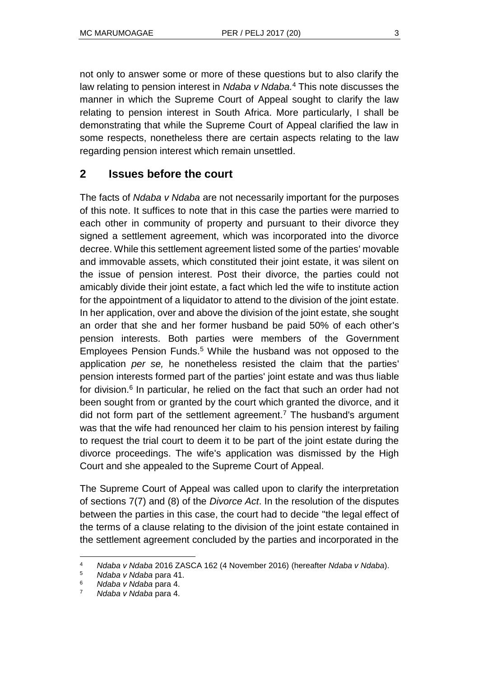not only to answer some or more of these questions but to also clarify the law relating to pension interest in *Ndaba v Ndaba.*<sup>4</sup> This note discusses the manner in which the Supreme Court of Appeal sought to clarify the law relating to pension interest in South Africa. More particularly, I shall be demonstrating that while the Supreme Court of Appeal clarified the law in some respects, nonetheless there are certain aspects relating to the law regarding pension interest which remain unsettled.

## **2 Issues before the court**

The facts of *Ndaba v Ndaba* are not necessarily important for the purposes of this note. It suffices to note that in this case the parties were married to each other in community of property and pursuant to their divorce they signed a settlement agreement, which was incorporated into the divorce decree. While this settlement agreement listed some of the parties' movable and immovable assets, which constituted their joint estate, it was silent on the issue of pension interest. Post their divorce, the parties could not amicably divide their joint estate, a fact which led the wife to institute action for the appointment of a liquidator to attend to the division of the joint estate. In her application, over and above the division of the joint estate, she sought an order that she and her former husband be paid 50% of each other's pension interests. Both parties were members of the Government Employees Pension Funds.<sup>5</sup> While the husband was not opposed to the application *per se,* he nonetheless resisted the claim that the parties' pension interests formed part of the parties' joint estate and was thus liable for division.<sup>6</sup> In particular, he relied on the fact that such an order had not been sought from or granted by the court which granted the divorce, and it did not form part of the settlement agreement.<sup>7</sup> The husband's argument was that the wife had renounced her claim to his pension interest by failing to request the trial court to deem it to be part of the joint estate during the divorce proceedings. The wife's application was dismissed by the High Court and she appealed to the Supreme Court of Appeal.

The Supreme Court of Appeal was called upon to clarify the interpretation of sections 7(7) and (8) of the *Divorce Act*. In the resolution of the disputes between the parties in this case, the court had to decide "the legal effect of the terms of a clause relating to the division of the joint estate contained in the settlement agreement concluded by the parties and incorporated in the

l <sup>4</sup> *Ndaba v Ndaba* 2016 ZASCA 162 (4 November 2016) (hereafter *Ndaba v Ndaba*).

<sup>5</sup> *Ndaba v Ndaba* para 41.

<sup>6</sup> *Ndaba v Ndaba* para 4.

<sup>7</sup> *Ndaba v Ndaba* para 4.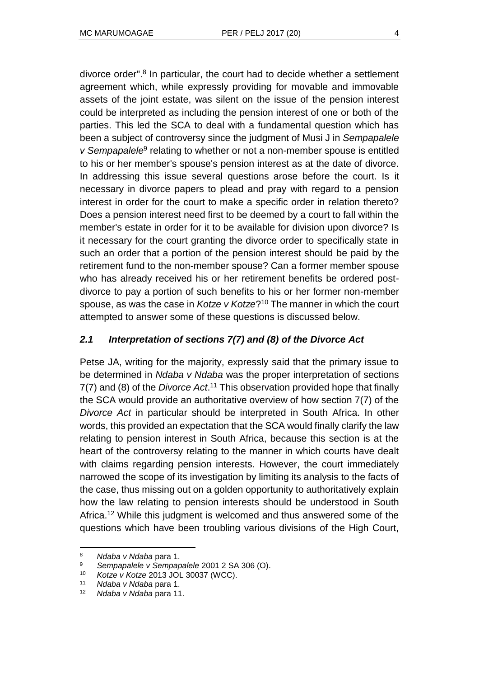divorce order". 8 In particular, the court had to decide whether a settlement agreement which, while expressly providing for movable and immovable assets of the joint estate, was silent on the issue of the pension interest could be interpreted as including the pension interest of one or both of the parties. This led the SCA to deal with a fundamental question which has been a subject of controversy since the judgment of Musi J in *Sempapalele*  v Sempapalele<sup>9</sup> relating to whether or not a non-member spouse is entitled to his or her member's spouse's pension interest as at the date of divorce. In addressing this issue several questions arose before the court. Is it necessary in divorce papers to plead and pray with regard to a pension interest in order for the court to make a specific order in relation thereto? Does a pension interest need first to be deemed by a court to fall within the member's estate in order for it to be available for division upon divorce? Is it necessary for the court granting the divorce order to specifically state in such an order that a portion of the pension interest should be paid by the retirement fund to the non-member spouse? Can a former member spouse who has already received his or her retirement benefits be ordered postdivorce to pay a portion of such benefits to his or her former non-member spouse, as was the case in *Kotze v Kotze*? <sup>10</sup> The manner in which the court attempted to answer some of these questions is discussed below.

### *2.1 Interpretation of sections 7(7) and (8) of the Divorce Act*

Petse JA, writing for the majority, expressly said that the primary issue to be determined in *Ndaba v Ndaba* was the proper interpretation of sections 7(7) and (8) of the *Divorce Act*. <sup>11</sup> This observation provided hope that finally the SCA would provide an authoritative overview of how section 7(7) of the *Divorce Act* in particular should be interpreted in South Africa. In other words, this provided an expectation that the SCA would finally clarify the law relating to pension interest in South Africa, because this section is at the heart of the controversy relating to the manner in which courts have dealt with claims regarding pension interests. However, the court immediately narrowed the scope of its investigation by limiting its analysis to the facts of the case, thus missing out on a golden opportunity to authoritatively explain how the law relating to pension interests should be understood in South Africa.<sup>12</sup> While this judgment is welcomed and thus answered some of the questions which have been troubling various divisions of the High Court,

<sup>8</sup> *Ndaba v Ndaba* para 1.

<sup>9</sup> *Sempapalele v Sempapalele* 2001 2 SA 306 (O).

<sup>10</sup> *Kotze v Kotze* 2013 JOL 30037 (WCC).

<sup>11</sup> *Ndaba v Ndaba* para 1.

<sup>12</sup> *Ndaba v Ndaba* para 11.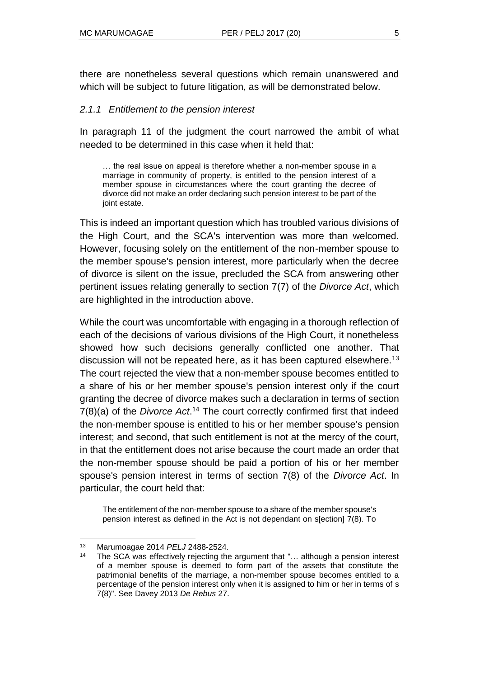there are nonetheless several questions which remain unanswered and which will be subject to future litigation, as will be demonstrated below.

#### *2.1.1 Entitlement to the pension interest*

In paragraph 11 of the judgment the court narrowed the ambit of what needed to be determined in this case when it held that:

… the real issue on appeal is therefore whether a non-member spouse in a marriage in community of property, is entitled to the pension interest of a member spouse in circumstances where the court granting the decree of divorce did not make an order declaring such pension interest to be part of the joint estate.

This is indeed an important question which has troubled various divisions of the High Court, and the SCA's intervention was more than welcomed. However, focusing solely on the entitlement of the non-member spouse to the member spouse's pension interest, more particularly when the decree of divorce is silent on the issue, precluded the SCA from answering other pertinent issues relating generally to section 7(7) of the *Divorce Act*, which are highlighted in the introduction above.

While the court was uncomfortable with engaging in a thorough reflection of each of the decisions of various divisions of the High Court, it nonetheless showed how such decisions generally conflicted one another. That discussion will not be repeated here, as it has been captured elsewhere.<sup>13</sup> The court rejected the view that a non-member spouse becomes entitled to a share of his or her member spouse's pension interest only if the court granting the decree of divorce makes such a declaration in terms of section 7(8)(a) of the *Divorce Act*. <sup>14</sup> The court correctly confirmed first that indeed the non-member spouse is entitled to his or her member spouse's pension interest; and second, that such entitlement is not at the mercy of the court, in that the entitlement does not arise because the court made an order that the non-member spouse should be paid a portion of his or her member spouse's pension interest in terms of section 7(8) of the *Divorce Act*. In particular, the court held that:

The entitlement of the non-member spouse to a share of the member spouse's pension interest as defined in the Act is not dependant on s[ection] 7(8). To

<sup>13</sup> Marumoagae 2014 *PELJ* 2488-2524.

<sup>14</sup> The SCA was effectively rejecting the argument that "... although a pension interest of a member spouse is deemed to form part of the assets that constitute the patrimonial benefits of the marriage, a non-member spouse becomes entitled to a percentage of the pension interest only when it is assigned to him or her in terms of [s](http://www.saflii.org/za/legis/consol_act/da197990/index.html#s7)  [7\(8\)".](http://www.saflii.org/za/legis/consol_act/da197990/index.html#s7) See Davey 2013 *De Rebus* 27.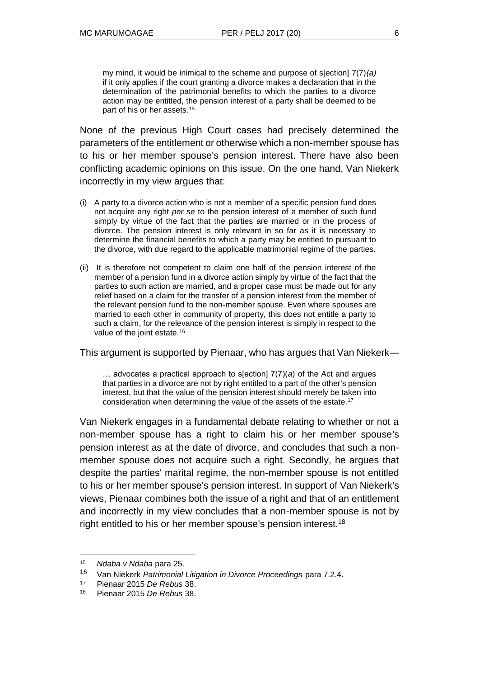my mind, it would be inimical to the scheme and purpose of s[ection] 7(7)*(a)* if it only applies if the court granting a divorce makes a declaration that in the determination of the patrimonial benefits to which the parties to a divorce action may be entitled, the pension interest of a party shall be deemed to be part of his or her assets. 15

None of the previous High Court cases had precisely determined the parameters of the entitlement or otherwise which a non-member spouse has to his or her member spouse's pension interest. There have also been conflicting academic opinions on this issue. On the one hand, Van Niekerk incorrectly in my view argues that:

- (i) A party to a divorce action who is not a member of a specific pension fund does not acquire any right *per se* to the pension interest of a member of such fund simply by virtue of the fact that the parties are married or in the process of divorce. The pension interest is only relevant in so far as it is necessary to determine the financial benefits to which a party may be entitled to pursuant to the divorce, with due regard to the applicable matrimonial regime of the parties.
- (ii) It is therefore not competent to claim one half of the pension interest of the member of a pension fund in a divorce action simply by virtue of the fact that the parties to such action are married, and a proper case must be made out for any relief based on a claim for the transfer of a pension interest from the member of the relevant pension fund to the non-member spouse. Even where spouses are married to each other in community of property, this does not entitle a party to such a claim, for the relevance of the pension interest is simply in respect to the value of the joint estate.<sup>16</sup>

This argument is supported by Pienaar, who has argues that Van Niekerk―

… advocates a practical approach to s[ection] 7(7)(*a*) of the Act and argues that parties in a divorce are not by right entitled to a part of the other's pension interest, but that the value of the pension interest should merely be taken into consideration when determining the value of the assets of the estate.<sup>17</sup>

Van Niekerk engages in a fundamental debate relating to whether or not a non-member spouse has a right to claim his or her member spouse's pension interest as at the date of divorce, and concludes that such a nonmember spouse does not acquire such a right. Secondly, he argues that despite the parties' marital regime, the non-member spouse is not entitled to his or her member spouse's pension interest. In support of Van Niekerk's views, Pienaar combines both the issue of a right and that of an entitlement and incorrectly in my view concludes that a non-member spouse is not by right entitled to his or her member spouse's pension interest.<sup>18</sup>

<sup>15</sup> *Ndaba v Ndaba* para 25.

<sup>16</sup> Van Niekerk *Patrimonial Litigation in Divorce Proceedings* para 7.2.4.

<sup>17</sup> Pienaar 2015 *De Rebus* 38.

<sup>18</sup> Pienaar 2015 *De Rebus* 38.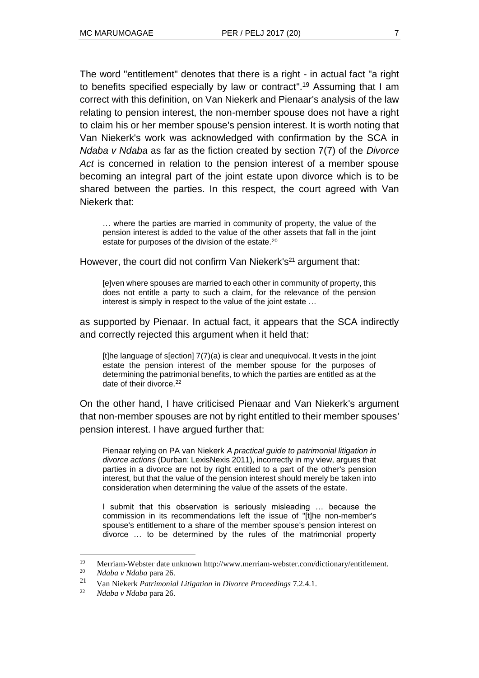The word "entitlement" denotes that there is a right - in actual fact "a right to benefits specified especially by law or contract".<sup>19</sup> Assuming that I am correct with this definition, on Van Niekerk and Pienaar's analysis of the law relating to pension interest, the non-member spouse does not have a right to claim his or her member spouse's pension interest. It is worth noting that Van Niekerk's work was acknowledged with confirmation by the SCA in *Ndaba v Ndaba* as far as the fiction created by section 7(7) of the *Divorce Act* is concerned in relation to the pension interest of a member spouse becoming an integral part of the joint estate upon divorce which is to be shared between the parties. In this respect, the court agreed with Van Niekerk that:

… where the parties are married in community of property, the value of the pension interest is added to the value of the other assets that fall in the joint estate for purposes of the division of the estate.<sup>20</sup>

However, the court did not confirm Van Niekerk's<sup>21</sup> argument that:

[e]ven where spouses are married to each other in community of property, this does not entitle a party to such a claim, for the relevance of the pension interest is simply in respect to the value of the joint estate …

as supported by Pienaar. In actual fact, it appears that the SCA indirectly and correctly rejected this argument when it held that:

[t]he language of s[ection] 7(7)(a) is clear and unequivocal. It vests in the joint estate the pension interest of the member spouse for the purposes of determining the patrimonial benefits, to which the parties are entitled as at the date of their divorce.<sup>22</sup>

On the other hand, I have criticised Pienaar and Van Niekerk's argument that non-member spouses are not by right entitled to their member spouses' pension interest. I have argued further that:

Pienaar relying on PA van Niekerk *A practical guide to patrimonial litigation in divorce actions* (Durban: LexisNexis 2011), incorrectly in my view, argues that parties in a divorce are not by right entitled to a part of the other's pension interest, but that the value of the pension interest should merely be taken into consideration when determining the value of the assets of the estate.

I submit that this observation is seriously misleading … because the commission in its recommendations left the issue of "[t]he non-member's spouse's entitlement to a share of the member spouse's pension interest on divorce … to be determined by the rules of the matrimonial property

l <sup>19</sup> Merriam-Webster date unknown http://www.merriam-webster.com/dictionary/entitlement. <sup>20</sup> *Ndaba v Ndaba* para 26.

<sup>21</sup> Van Niekerk *Patrimonial Litigation in Divorce Proceedings* 7.2.4.1.

<sup>22</sup> *Ndaba v Ndaba* para 26.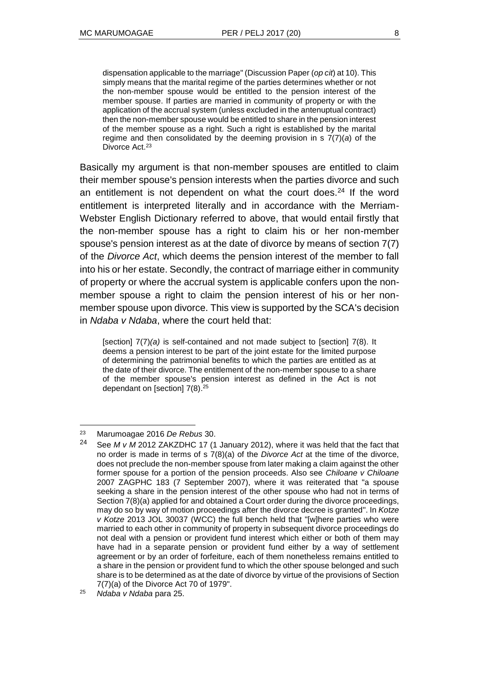dispensation applicable to the marriage" (Discussion Paper (*op cit*) at 10). This simply means that the marital regime of the parties determines whether or not the non-member spouse would be entitled to the pension interest of the member spouse. If parties are married in community of property or with the application of the accrual system (unless excluded in the antenuptual contract) then the non-member spouse would be entitled to share in the pension interest of the member spouse as a right. Such a right is established by the marital regime and then consolidated by the deeming provision in s 7(7)(*a*) of the Divorce Act.<sup>23</sup>

Basically my argument is that non-member spouses are entitled to claim their member spouse's pension interests when the parties divorce and such an entitlement is not dependent on what the court does.<sup>24</sup> If the word entitlement is interpreted literally and in accordance with the Merriam-Webster English Dictionary referred to above, that would entail firstly that the non-member spouse has a right to claim his or her non-member spouse's pension interest as at the date of divorce by means of section 7(7) of the *Divorce Act*, which deems the pension interest of the member to fall into his or her estate. Secondly, the contract of marriage either in community of property or where the accrual system is applicable confers upon the nonmember spouse a right to claim the pension interest of his or her nonmember spouse upon divorce. This view is supported by the SCA's decision in *Ndaba v Ndaba*, where the court held that:

[section]  $7(7)(a)$  is self-contained and not made subject to [section] 7(8). It deems a pension interest to be part of the joint estate for the limited purpose of determining the patrimonial benefits to which the parties are entitled as at the date of their divorce. The entitlement of the non-member spouse to a share of the member spouse's pension interest as defined in the Act is not dependant on [section] 7(8).<sup>25</sup>

<sup>23</sup> Marumoagae 2016 *De Rebus* 30.

<sup>24</sup> See *M v M* 2012 ZAKZDHC 17 (1 January 2012), where it was held that the fact that no order is made in terms of s [7\(8\)\(a\)](http://www.saflii.org/za/legis/consol_act/da197990/index.html#s7) of the *[Divorce Act](http://www.saflii.org/za/legis/consol_act/da197990/)* at the time of the divorce, does not preclude the non-member spouse from later making a claim against the other former spouse for a portion of the pension proceeds. Also see *Chiloane v Chiloane*  2007 ZAGPHC 183 (7 September 2007), where it was reiterated that "a spouse seeking a share in the pension interest of the other spouse who had not in terms of [Section 7\(8\)\(a\)](http://www.saflii.org/za/legis/consol_act/da197990/index.html#s7) applied for and obtained a Court order during the divorce proceedings, may do so by way of motion proceedings after the divorce decree is granted". In *Kotze v Kotze* [2013 JOL 30037](http://www.saflii.org/cgi-bin/LawCite?cit=%5b2013%5d%20JOL%2030037) (WCC) the full bench held that "[w]here parties who were married to each other in community of property in subsequent divorce proceedings do not deal with a pension or provident fund interest which either or both of them may have had in a separate pension or provident fund either by a way of settlement agreement or by an order of forfeiture, each of them nonetheless remains entitled to a share in the pension or provident fund to which the other spouse belonged and such share is to be determined as at the date of divorce by virtue of the provisions o[f Section](http://www.saflii.org/za/legis/consol_act/da197990/index.html#s7)  [7\(7\)\(a\)](http://www.saflii.org/za/legis/consol_act/da197990/index.html#s7) of the [Divorce Act 70 of 1979"](http://www.saflii.org/za/legis/consol_act/da197990/).

<sup>25</sup> *Ndaba v Ndaba* para 25.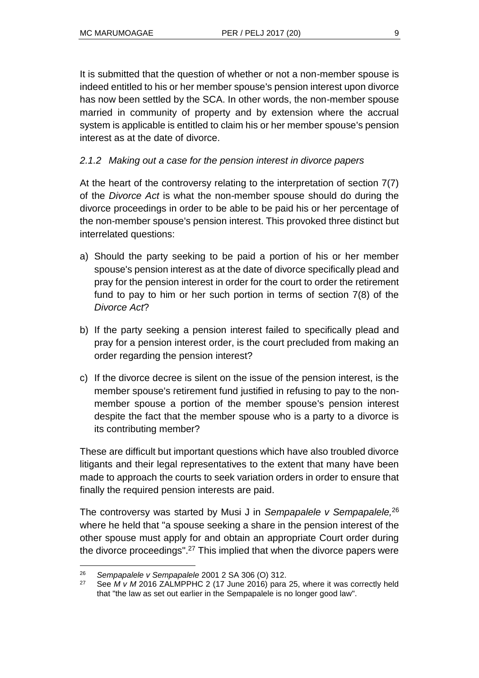It is submitted that the question of whether or not a non-member spouse is indeed entitled to his or her member spouse's pension interest upon divorce has now been settled by the SCA. In other words, the non-member spouse married in community of property and by extension where the accrual system is applicable is entitled to claim his or her member spouse's pension interest as at the date of divorce.

### *2.1.2 Making out a case for the pension interest in divorce papers*

At the heart of the controversy relating to the interpretation of section 7(7) of the *Divorce Act* is what the non-member spouse should do during the divorce proceedings in order to be able to be paid his or her percentage of the non-member spouse's pension interest. This provoked three distinct but interrelated questions:

- a) Should the party seeking to be paid a portion of his or her member spouse's pension interest as at the date of divorce specifically plead and pray for the pension interest in order for the court to order the retirement fund to pay to him or her such portion in terms of section 7(8) of the *Divorce Act*?
- b) If the party seeking a pension interest failed to specifically plead and pray for a pension interest order, is the court precluded from making an order regarding the pension interest?
- c) If the divorce decree is silent on the issue of the pension interest, is the member spouse's retirement fund justified in refusing to pay to the nonmember spouse a portion of the member spouse's pension interest despite the fact that the member spouse who is a party to a divorce is its contributing member?

These are difficult but important questions which have also troubled divorce litigants and their legal representatives to the extent that many have been made to approach the courts to seek variation orders in order to ensure that finally the required pension interests are paid.

The controversy was started by Musi J in *Sempapalele v Sempapalele,*<sup>26</sup> where he held that "a spouse seeking a share in the pension interest of the other spouse must apply for and obtain an appropriate Court order during the divorce proceedings".<sup>27</sup> This implied that when the divorce papers were

 $\overline{a}$ <sup>26</sup> *Sempapalele v Sempapalele* 2001 2 SA 306 (O) 312.

<sup>27</sup> See *M v M* 2016 ZALMPPHC 2 (17 June 2016) para 25, where it was correctly held that "the law as set out earlier in the Sempapalele is no longer good law".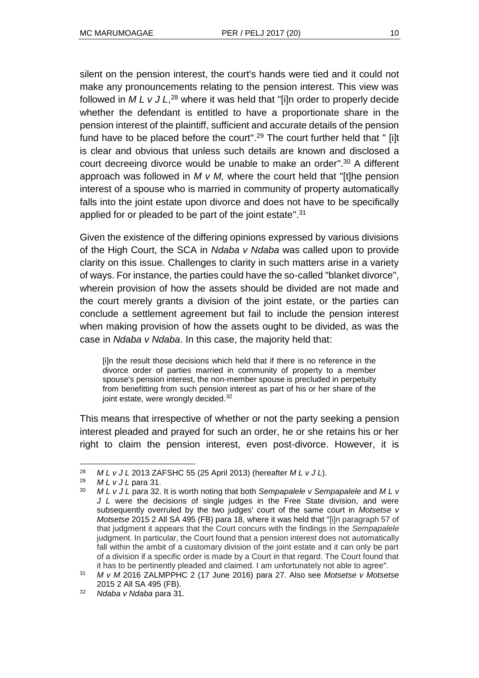silent on the pension interest, the court's hands were tied and it could not make any pronouncements relating to the pension interest. This view was followed in *M L v J L*, <sup>28</sup> where it was held that "[i]n order to properly decide whether the defendant is entitled to have a proportionate share in the pension interest of the plaintiff, sufficient and accurate details of the pension fund have to be placed before the court". <sup>29</sup> The court further held that " [i]t is clear and obvious that unless such details are known and disclosed a court decreeing divorce would be unable to make an order". <sup>30</sup> A different approach was followed in *M v M,* where the court held that "[t]he pension interest of a spouse who is married in community of property automatically falls into the joint estate upon divorce and does not have to be specifically applied for or pleaded to be part of the joint estate".<sup>31</sup>

Given the existence of the differing opinions expressed by various divisions of the High Court, the SCA in *Ndaba v Ndaba* was called upon to provide clarity on this issue. Challenges to clarity in such matters arise in a variety of ways. For instance, the parties could have the so-called "blanket divorce", wherein provision of how the assets should be divided are not made and the court merely grants a division of the joint estate, or the parties can conclude a settlement agreement but fail to include the pension interest when making provision of how the assets ought to be divided, as was the case in *Ndaba v Ndaba*. In this case, the majority held that:

[i]n the result those decisions which held that if there is no reference in the divorce order of parties married in community of property to a member spouse's pension interest, the non-member spouse is precluded in perpetuity from benefitting from such pension interest as part of his or her share of the joint estate, were wrongly decided.<sup>32</sup>

This means that irrespective of whether or not the party seeking a pension interest pleaded and prayed for such an order, he or she retains his or her right to claim the pension interest, even post-divorce. However, it is

<sup>28</sup> *M L v J L* 2013 ZAFSHC 55 (25 April 2013) (hereafter *M L v J L*).

<sup>29</sup> *M L v J L* para 31.

<sup>30</sup> *M L v J L* para 32. It is worth noting that both *Sempapalele v Sempapalele* and *M L v J L* were the decisions of single judges in the Free State division, and were subsequently overruled by the two judges' court of the same court in *Motsetse v Motsetse* [2015 2 All](http://www.saflii.org/cgi-bin/LawCite?cit=%5b2015%5d%202%20ALL%20SA%20495) SA 495 (FB) para 18, where it was held that "[i]n paragraph 57 of that judgment it appears that the Court concurs with the findings in the *Sempapalele* judgment. In particular, the Court found that a pension interest does not automatically fall within the ambit of a customary division of the joint estate and it can only be part of a division if a specific order is made by a Court in that regard. The Court found that it has to be pertinently pleaded and claimed. I am unfortunately not able to agree".

<sup>31</sup> *M v M* 2016 ZALMPPHC 2 (17 June 2016) para 27. Also see *Motsetse v Motsetse* [2015 2 All](http://www.saflii.org/cgi-bin/LawCite?cit=%5b2015%5d%202%20ALL%20SA%20495) SA 495 (FB).

<sup>32</sup> *Ndaba v Ndaba* para 31.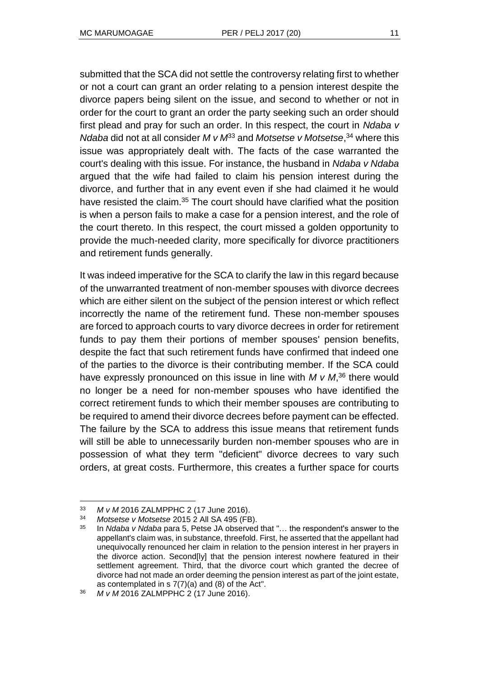submitted that the SCA did not settle the controversy relating first to whether or not a court can grant an order relating to a pension interest despite the divorce papers being silent on the issue, and second to whether or not in order for the court to grant an order the party seeking such an order should first plead and pray for such an order. In this respect, the court in *Ndaba v Ndaba* did not at all consider *M v M*<sup>33</sup> and *Motsetse v Motsetse*, <sup>34</sup> where this issue was appropriately dealt with. The facts of the case warranted the court's dealing with this issue. For instance, the husband in *Ndaba v Ndaba* argued that the wife had failed to claim his pension interest during the divorce, and further that in any event even if she had claimed it he would have resisted the claim.<sup>35</sup> The court should have clarified what the position is when a person fails to make a case for a pension interest, and the role of the court thereto. In this respect, the court missed a golden opportunity to provide the much-needed clarity, more specifically for divorce practitioners and retirement funds generally.

It was indeed imperative for the SCA to clarify the law in this regard because of the unwarranted treatment of non-member spouses with divorce decrees which are either silent on the subject of the pension interest or which reflect incorrectly the name of the retirement fund. These non-member spouses are forced to approach courts to vary divorce decrees in order for retirement funds to pay them their portions of member spouses' pension benefits, despite the fact that such retirement funds have confirmed that indeed one of the parties to the divorce is their contributing member. If the SCA could have expressly pronounced on this issue in line with *M v M*, <sup>36</sup> there would no longer be a need for non-member spouses who have identified the correct retirement funds to which their member spouses are contributing to be required to amend their divorce decrees before payment can be effected. The failure by the SCA to address this issue means that retirement funds will still be able to unnecessarily burden non-member spouses who are in possession of what they term "deficient" divorce decrees to vary such orders, at great costs. Furthermore, this creates a further space for courts

l <sup>33</sup> *M v M* 2016 ZALMPPHC 2 (17 June 2016).

<sup>34</sup> *Motsetse v Motsetse* [2015 2 All](http://www.saflii.org/cgi-bin/LawCite?cit=%5b2015%5d%202%20ALL%20SA%20495) SA 495 (FB).

<sup>35</sup> In *Ndaba v Ndaba* para 5, Petse JA observed that "… the respondent's answer to the appellant's claim was, in substance, threefold. First, he asserted that the appellant had unequivocally renounced her claim in relation to the pension interest in her prayers in the divorce action. Second[ly] that the pension interest nowhere featured in their settlement agreement. Third, that the divorce court which granted the decree of divorce had not made an order deeming the pension interest as part of the joint estate, as contemplated in s 7(7)(a) and (8) of the Act".

<sup>36</sup> *M v M* 2016 ZALMPPHC 2 (17 June 2016).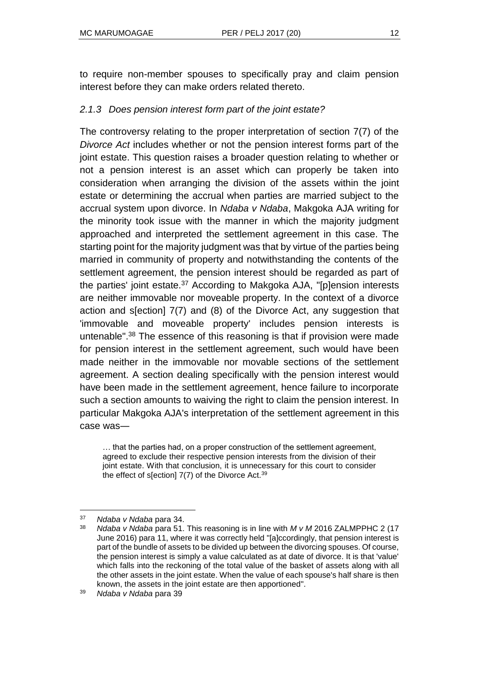to require non-member spouses to specifically pray and claim pension interest before they can make orders related thereto.

#### *2.1.3 Does pension interest form part of the joint estate?*

The controversy relating to the proper interpretation of section 7(7) of the *Divorce Act* includes whether or not the pension interest forms part of the joint estate. This question raises a broader question relating to whether or not a pension interest is an asset which can properly be taken into consideration when arranging the division of the assets within the joint estate or determining the accrual when parties are married subject to the accrual system upon divorce. In *Ndaba v Ndaba*, Makgoka AJA writing for the minority took issue with the manner in which the majority judgment approached and interpreted the settlement agreement in this case. The starting point for the majority judgment was that by virtue of the parties being married in community of property and notwithstanding the contents of the settlement agreement, the pension interest should be regarded as part of the parties' joint estate.<sup>37</sup> According to Makgoka AJA, "[p]ension interests are neither immovable nor moveable property. In the context of a divorce action and [s\[ection\] 7\(7\)](http://www.saflii.org/za/legis/consol_act/da197990/index.html#s7) and (8) of the [Divorce Act,](http://www.saflii.org/za/legis/consol_act/da197990/) [any](http://www.saflii.org/za/legis/consol_act/da197990/) suggestion that 'immovable and moveable property' includes pension interests is untenable". <sup>38</sup> The essence of this reasoning is that if provision were made for pension interest in the settlement agreement, such would have been made neither in the immovable nor movable sections of the settlement agreement. A section dealing specifically with the pension interest would have been made in the settlement agreement, hence failure to incorporate such a section amounts to waiving the right to claim the pension interest. In particular Makgoka AJA's interpretation of the settlement agreement in this case was―

… that the parties had, on a proper construction of the settlement agreement, agreed to exclude their respective pension interests from the division of their joint estate. With that conclusion, it is unnecessary for this court to consider the effect of s[ection] 7(7) of the Divorce Act.<sup>39</sup>

<sup>37</sup> *Ndaba v Ndaba* para 34.

<sup>38</sup> *Ndaba v Ndaba* para 51. This reasoning is in line with *M v M* 2016 ZALMPPHC 2 (17 June 2016) para 11, where it was correctly held "[a]ccordingly, that pension interest is part of the bundle of assets to be divided up between the divorcing spouses. Of course, the pension interest is simply a value calculated as at date of divorce. It is that 'value' which falls into the reckoning of the total value of the basket of assets along with all the other assets in the joint estate. When the value of each spouse's half share is then known, the assets in the joint estate are then apportioned".

<sup>39</sup> *Ndaba v Ndaba* para 39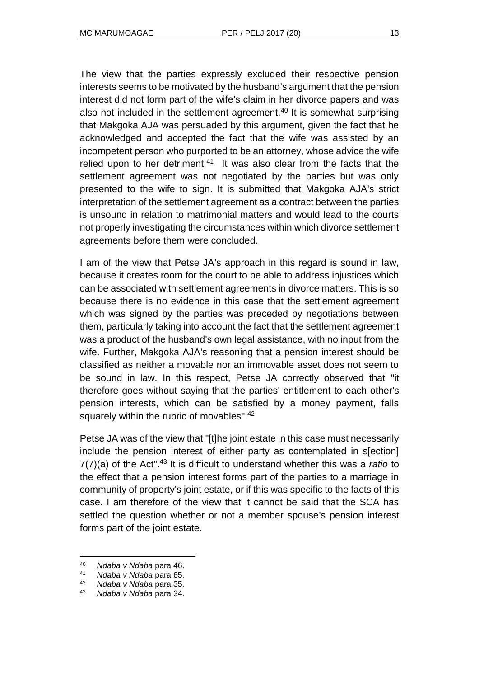The view that the parties expressly excluded their respective pension interests seems to be motivated by the husband's argument that the pension interest did not form part of the wife's claim in her divorce papers and was also not included in the settlement agreement.<sup>40</sup> It is somewhat surprising that Makgoka AJA was persuaded by this argument, given the fact that he acknowledged and accepted the fact that the wife was assisted by an incompetent person who purported to be an attorney, whose advice the wife relied upon to her detriment. $41$  It was also clear from the facts that the settlement agreement was not negotiated by the parties but was only presented to the wife to sign. It is submitted that Makgoka AJA's strict interpretation of the settlement agreement as a contract between the parties is unsound in relation to matrimonial matters and would lead to the courts not properly investigating the circumstances within which divorce settlement agreements before them were concluded.

I am of the view that Petse JA's approach in this regard is sound in law, because it creates room for the court to be able to address injustices which can be associated with settlement agreements in divorce matters. This is so because there is no evidence in this case that the settlement agreement which was signed by the parties was preceded by negotiations between them, particularly taking into account the fact that the settlement agreement was a product of the husband's own legal assistance, with no input from the wife. Further, Makgoka AJA's reasoning that a pension interest should be classified as neither a movable nor an immovable asset does not seem to be sound in law. In this respect, Petse JA correctly observed that "it therefore goes without saying that the parties' entitlement to each other's pension interests, which can be satisfied by a money payment, falls squarely within the rubric of movables".<sup>42</sup>

Petse JA was of the view that "[t]he joint estate in this case must necessarily include the pension interest of either party as contemplated in s[ection] 7(7)(a) of the Act". <sup>43</sup> It is difficult to understand whether this was a *ratio* to the effect that a pension interest forms part of the parties to a marriage in community of property's joint estate, or if this was specific to the facts of this case. I am therefore of the view that it cannot be said that the SCA has settled the question whether or not a member spouse's pension interest forms part of the joint estate.

<sup>40</sup> *Ndaba v Ndaba* para 46.

<sup>41</sup> *Ndaba v Ndaba* para 65.

<sup>42</sup> *Ndaba v Ndaba* para 35.

<sup>43</sup> *Ndaba v Ndaba* para 34.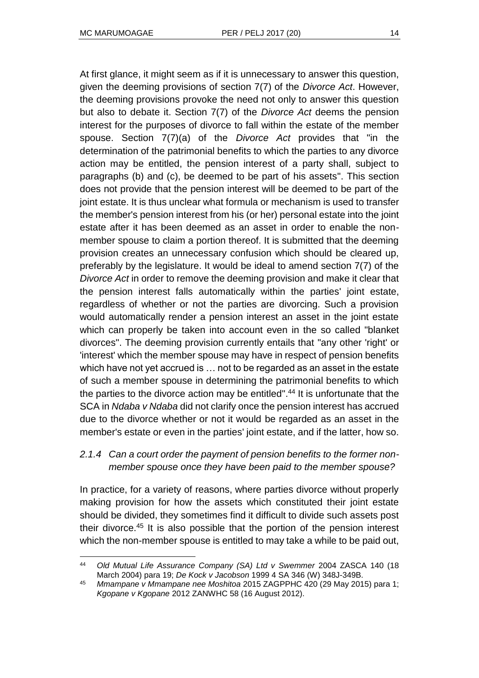At first glance, it might seem as if it is unnecessary to answer this question, given the deeming provisions of section 7(7) of the *Divorce Act*. However, the deeming provisions provoke the need not only to answer this question but also to debate it. Section 7(7) of the *Divorce Act* deems the pension interest for the purposes of divorce to fall within the estate of the member spouse. Section 7(7)(a) of the *Divorce Act* provides that "in the determination of the patrimonial benefits to which the parties to any divorce action may be entitled, the pension interest of a party shall, subject to paragraphs (b) and (c), be deemed to be part of his assets". This section does not provide that the pension interest will be deemed to be part of the joint estate. It is thus unclear what formula or mechanism is used to transfer the member's pension interest from his (or her) personal estate into the joint estate after it has been deemed as an asset in order to enable the nonmember spouse to claim a portion thereof. It is submitted that the deeming provision creates an unnecessary confusion which should be cleared up, preferably by the legislature. It would be ideal to amend section 7(7) of the *Divorce Act* in order to remove the deeming provision and make it clear that the pension interest falls automatically within the parties' joint estate, regardless of whether or not the parties are divorcing. Such a provision would automatically render a pension interest an asset in the joint estate which can properly be taken into account even in the so called "blanket divorces". The deeming provision currently entails that "any other 'right' or 'interest' which the member spouse may have in respect of pension benefits which have not yet accrued is … not to be regarded as an asset in the estate of such a member spouse in determining the patrimonial benefits to which the parties to the divorce action may be entitled". <sup>44</sup> It is unfortunate that the SCA in *Ndaba v Ndaba* did not clarify once the pension interest has accrued due to the divorce whether or not it would be regarded as an asset in the member's estate or even in the parties' joint estate, and if the latter, how so.

## *2.1.4 Can a court order the payment of pension benefits to the former nonmember spouse once they have been paid to the member spouse?*

In practice, for a variety of reasons, where parties divorce without properly making provision for how the assets which constituted their joint estate should be divided, they sometimes find it difficult to divide such assets post their divorce.<sup>45</sup> It is also possible that the portion of the pension interest which the non-member spouse is entitled to may take a while to be paid out,

l <sup>44</sup> *Old Mutual Life Assurance Company (SA) Ltd v Swemmer* 2004 ZASCA 140 (18 March 2004) para 19; *De Kock v Jacobson* 1999 4 SA 346 (W) 348J-349B.

<sup>45</sup> *Mmampane v Mmampane nee Moshitoa* 2015 ZAGPPHC 420 (29 May 2015) para 1; *Kgopane v Kgopane* 2012 ZANWHC 58 (16 August 2012).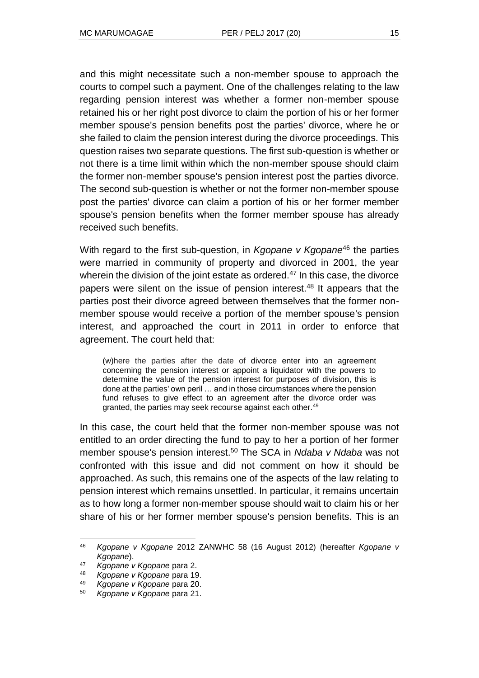and this might necessitate such a non-member spouse to approach the courts to compel such a payment. One of the challenges relating to the law regarding pension interest was whether a former non-member spouse retained his or her right post divorce to claim the portion of his or her former member spouse's pension benefits post the parties' divorce, where he or she failed to claim the pension interest during the divorce proceedings. This question raises two separate questions. The first sub-question is whether or not there is a time limit within which the non-member spouse should claim the former non-member spouse's pension interest post the parties divorce. The second sub-question is whether or not the former non-member spouse post the parties' divorce can claim a portion of his or her former member spouse's pension benefits when the former member spouse has already received such benefits.

With regard to the first sub-question, in *Kgopane v Kgopane*<sup>46</sup> the parties were married in community of property and divorced in 2001, the year wherein the division of the joint estate as ordered.<sup>47</sup> In this case, the divorce papers were silent on the issue of pension interest.<sup>48</sup> It appears that the parties post their divorce agreed between themselves that the former nonmember spouse would receive a portion of the member spouse's pension interest, and approached the court in 2011 in order to enforce that agreement. The court held that:

(w)here the parties after the date of divorce enter into an agreement concerning the pension interest or appoint a liquidator with the powers to determine the value of the pension interest for purposes of division, this is done at the parties' own peril … and in those circumstances where the pension fund refuses to give effect to an agreement after the divorce order was granted, the parties may seek recourse against each other.<sup>49</sup>

In this case, the court held that the former non-member spouse was not entitled to an order directing the fund to pay to her a portion of her former member spouse's pension interest.<sup>50</sup> The SCA in *Ndaba v Ndaba* was not confronted with this issue and did not comment on how it should be approached. As such, this remains one of the aspects of the law relating to pension interest which remains unsettled. In particular, it remains uncertain as to how long a former non-member spouse should wait to claim his or her share of his or her former member spouse's pension benefits. This is an

<sup>46</sup> *Kgopane v Kgopane* 2012 ZANWHC 58 (16 August 2012) (hereafter *Kgopane v Kgopane*).

<sup>47</sup> *Kgopane v Kgopane* para 2.

<sup>48</sup> *Kgopane v Kgopane* para 19.

<sup>49</sup> *Kgopane v Kgopane* para 20.

<sup>50</sup> *Kgopane v Kgopane* para 21.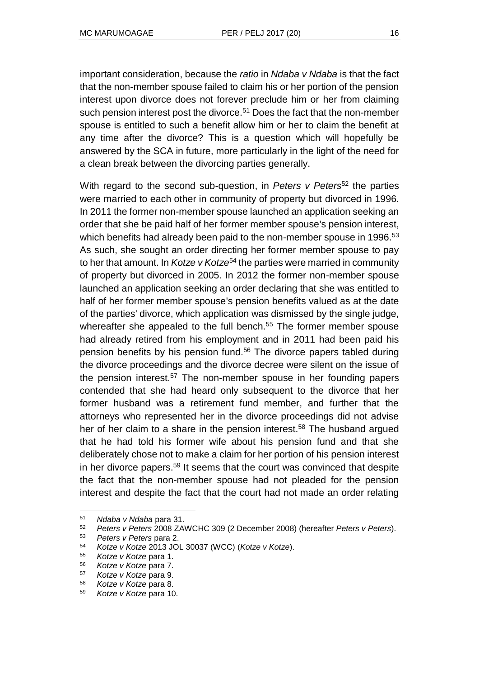important consideration, because the *ratio* in *Ndaba v Ndaba* is that the fact that the non-member spouse failed to claim his or her portion of the pension interest upon divorce does not forever preclude him or her from claiming such pension interest post the divorce.<sup>51</sup> Does the fact that the non-member spouse is entitled to such a benefit allow him or her to claim the benefit at any time after the divorce? This is a question which will hopefully be answered by the SCA in future, more particularly in the light of the need for a clean break between the divorcing parties generally.

With regard to the second sub-question, in *Peters v Peters*<sup>52</sup> the parties were married to each other in community of property but divorced in 1996. In 2011 the former non-member spouse launched an application seeking an order that she be paid half of her former member spouse's pension interest, which benefits had already been paid to the non-member spouse in 1996.<sup>53</sup> As such, she sought an order directing her former member spouse to pay to her that amount. In *Kotze v Kotze*<sup>54</sup> the parties were married in community of property but divorced in 2005. In 2012 the former non-member spouse launched an application seeking an order declaring that she was entitled to half of her former member spouse's pension benefits valued as at the date of the parties' divorce, which application was dismissed by the single judge, whereafter she appealed to the full bench.<sup>55</sup> The former member spouse had already retired from his employment and in 2011 had been paid his pension benefits by his pension fund.<sup>56</sup> The divorce papers tabled during the divorce proceedings and the divorce decree were silent on the issue of the pension interest.<sup>57</sup> The non-member spouse in her founding papers contended that she had heard only subsequent to the divorce that her former husband was a retirement fund member, and further that the attorneys who represented her in the divorce proceedings did not advise her of her claim to a share in the pension interest.<sup>58</sup> The husband argued that he had told his former wife about his pension fund and that she deliberately chose not to make a claim for her portion of his pension interest in her divorce papers.<sup>59</sup> It seems that the court was convinced that despite the fact that the non-member spouse had not pleaded for the pension interest and despite the fact that the court had not made an order relating

<sup>51</sup> *Ndaba v Ndaba* para 31.

<sup>52</sup> *Peters v Peters* 2008 ZAWCHC 309 (2 December 2008) (hereafter *Peters v Peters*).

<sup>53</sup> *Peters v Peters* para 2.

<sup>54</sup> *Kotze v Kotze* 2013 JOL 30037 (WCC) (*Kotze v Kotze*).

<sup>55</sup> *Kotze v Kotze* para 1.

<sup>56</sup> *Kotze v Kotze* para 7.

<sup>57</sup> *Kotze v Kotze* para 9.

<sup>58</sup> *Kotze v Kotze* para 8.

<sup>59</sup> *Kotze v Kotze* para 10.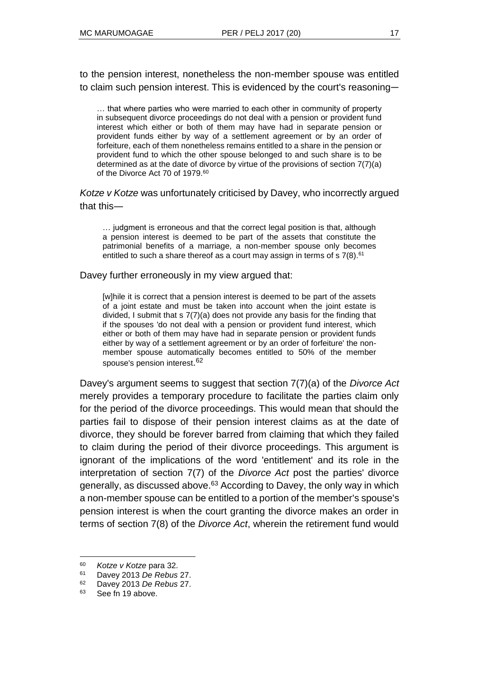to the pension interest, nonetheless the non-member spouse was entitled to claim such pension interest. This is evidenced by the court's reasoning―

… that where parties who were married to each other in community of property in subsequent divorce proceedings do not deal with a pension or provident fund interest which either or both of them may have had in separate pension or provident funds either by way of a settlement agreement or by an order of forfeiture, each of them nonetheless remains entitled to a share in the pension or provident fund to which the other spouse belonged to and such share is to be determined as at the date of divorce by virtue of the provisions of section 7(7)(a) of the Divorce Act 70 of 1979.<sup>60</sup>

*Kotze v Kotze* was unfortunately criticised by Davey, who incorrectly argued that this―

… judgment is erroneous and that the correct legal position is that, although a pension interest is deemed to be part of the assets that constitute the patrimonial benefits of a marriage, a non-member spouse only becomes entitled to such a share thereof as a court may assign in terms of s 7(8).<sup>61</sup>

Davey further erroneously in my view argued that:

[w]hile it is correct that a pension interest is deemed to be part of the assets of a joint estate and must be taken into account when the joint estate is divided, I submit that s 7(7)(a) does not provide any basis for the finding that if the spouses 'do not deal with a pension or provident fund interest, which either or both of them may have had in separate pension or provident funds either by way of a settlement agreement or by an order of forfeiture' the nonmember spouse automatically becomes entitled to 50% of the member spouse's pension interest. 62

Davey's argument seems to suggest that section 7(7)(a) of the *Divorce Act* merely provides a temporary procedure to facilitate the parties claim only for the period of the divorce proceedings. This would mean that should the parties fail to dispose of their pension interest claims as at the date of divorce, they should be forever barred from claiming that which they failed to claim during the period of their divorce proceedings. This argument is ignorant of the implications of the word 'entitlement' and its role in the interpretation of section 7(7) of the *Divorce Act* post the parties' divorce generally, as discussed above.<sup>63</sup> According to Davey, the only way in which a non-member spouse can be entitled to a portion of the member's spouse's pension interest is when the court granting the divorce makes an order in terms of section 7(8) of the *Divorce Act*, wherein the retirement fund would

<sup>60</sup> *Kotze v Kotze* para 32.

<sup>61</sup> Davey 2013 *De Rebus* 27.

<sup>62</sup> Davey 2013 *De Rebus* 27.

<sup>63</sup> See fn 19 above.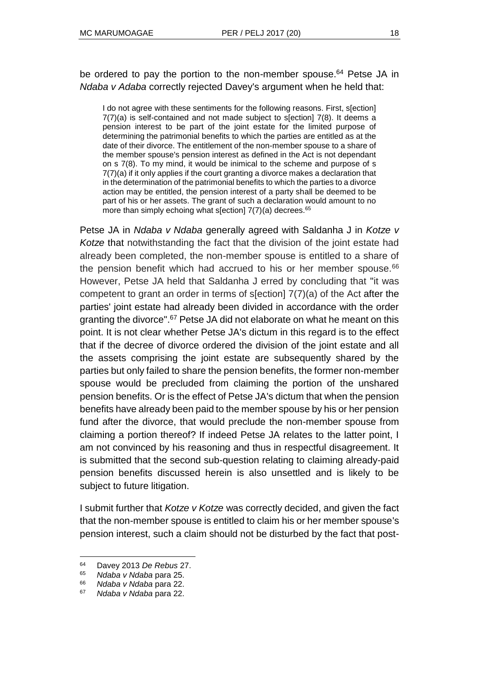be ordered to pay the portion to the non-member spouse.<sup>64</sup> Petse JA in *Ndaba v Adaba* correctly rejected Davey's argument when he held that:

I do not agree with these sentiments for the following reasons. First, s[ection] 7(7)(a) is self-contained and not made subject to s[ection] 7(8). It deems a pension interest to be part of the joint estate for the limited purpose of determining the patrimonial benefits to which the parties are entitled as at the date of their divorce. The entitlement of the non-member spouse to a share of the member spouse's pension interest as defined in the Act is not dependant on s 7(8). To my mind, it would be inimical to the scheme and purpose of s 7(7)(a) if it only applies if the court granting a divorce makes a declaration that in the determination of the patrimonial benefits to which the parties to a divorce action may be entitled, the pension interest of a party shall be deemed to be part of his or her assets. The grant of such a declaration would amount to no more than simply echoing what s[ection]  $7(7)(a)$  decrees.<sup>65</sup>

Petse JA in *Ndaba v Ndaba* generally agreed with Saldanha J in *Kotze v Kotze* that notwithstanding the fact that the division of the joint estate had already been completed, the non-member spouse is entitled to a share of the pension benefit which had accrued to his or her member spouse.<sup>66</sup> However, Petse JA held that Saldanha J erred by concluding that "it was competent to grant an order in terms of s[ection] 7(7)(a) of the Act after the parties' joint estate had already been divided in accordance with the order granting the divorce".<sup>67</sup> Petse JA did not elaborate on what he meant on this point. It is not clear whether Petse JA's dictum in this regard is to the effect that if the decree of divorce ordered the division of the joint estate and all the assets comprising the joint estate are subsequently shared by the parties but only failed to share the pension benefits, the former non-member spouse would be precluded from claiming the portion of the unshared pension benefits. Or is the effect of Petse JA's dictum that when the pension benefits have already been paid to the member spouse by his or her pension fund after the divorce, that would preclude the non-member spouse from claiming a portion thereof? If indeed Petse JA relates to the latter point, I am not convinced by his reasoning and thus in respectful disagreement. It is submitted that the second sub-question relating to claiming already-paid pension benefits discussed herein is also unsettled and is likely to be subject to future litigation.

I submit further that *Kotze v Kotze* was correctly decided, and given the fact that the non-member spouse is entitled to claim his or her member spouse's pension interest, such a claim should not be disturbed by the fact that post-

 $64$ <sup>64</sup> Davey 2013 *De Rebus* 27.

<sup>65</sup> *Ndaba v Ndaba* para 25.

<sup>66</sup> *Ndaba v Ndaba* para 22.

<sup>67</sup> *Ndaba v Ndaba* para 22.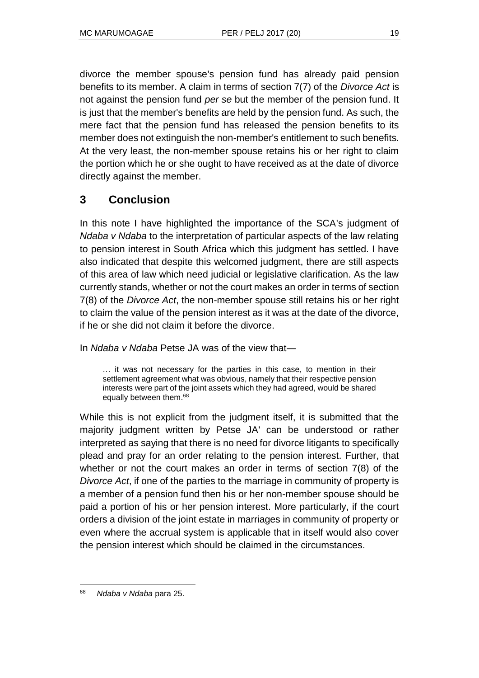divorce the member spouse's pension fund has already paid pension benefits to its member. A claim in terms of section 7(7) of the *Divorce Act* is not against the pension fund *per se* but the member of the pension fund. It is just that the member's benefits are held by the pension fund. As such, the mere fact that the pension fund has released the pension benefits to its member does not extinguish the non-member's entitlement to such benefits. At the very least, the non-member spouse retains his or her right to claim the portion which he or she ought to have received as at the date of divorce directly against the member.

## **3 Conclusion**

In this note I have highlighted the importance of the SCA's judgment of *Ndaba v Ndaba* to the interpretation of particular aspects of the law relating to pension interest in South Africa which this judgment has settled. I have also indicated that despite this welcomed judgment, there are still aspects of this area of law which need judicial or legislative clarification. As the law currently stands, whether or not the court makes an order in terms of section 7(8) of the *Divorce Act*, the non-member spouse still retains his or her right to claim the value of the pension interest as it was at the date of the divorce, if he or she did not claim it before the divorce.

In *Ndaba v Ndaba* Petse JA was of the view that―

… it was not necessary for the parties in this case, to mention in their settlement agreement what was obvious, namely that their respective pension interests were part of the joint assets which they had agreed, would be shared equally between them.<sup>68</sup>

While this is not explicit from the judgment itself, it is submitted that the majority judgment written by Petse JA' can be understood or rather interpreted as saying that there is no need for divorce litigants to specifically plead and pray for an order relating to the pension interest. Further, that whether or not the court makes an order in terms of section 7(8) of the *Divorce Act*, if one of the parties to the marriage in community of property is a member of a pension fund then his or her non-member spouse should be paid a portion of his or her pension interest. More particularly, if the court orders a division of the joint estate in marriages in community of property or even where the accrual system is applicable that in itself would also cover the pension interest which should be claimed in the circumstances.

<sup>68</sup> *Ndaba v Ndaba* para 25.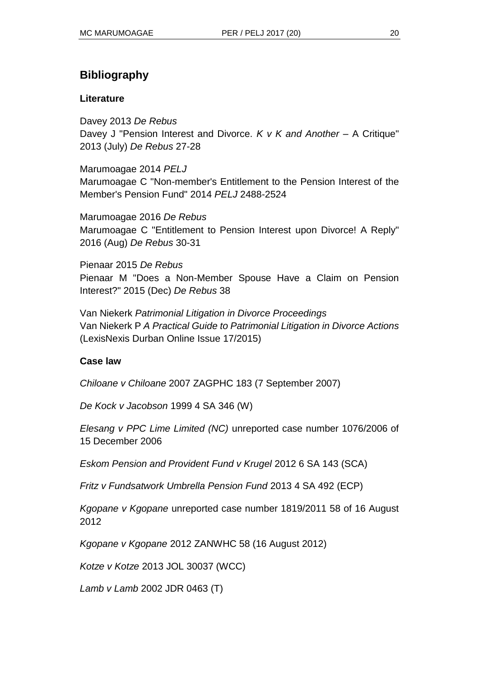# **Bibliography**

### **Literature**

Davey 2013 *De Rebus* Davey J "Pension Interest and Divorce. *K v K and Another* – A Critique" 2013 (July) *De Rebus* 27-28

Marumoagae 2014 *PELJ* Marumoagae C "Non-member's Entitlement to the Pension Interest of the Member's Pension Fund" 2014 *PELJ* 2488-2524

Marumoagae 2016 *De Rebus* Marumoagae C "Entitlement to Pension Interest upon Divorce! A Reply" 2016 (Aug) *De Rebus* 30-31

Pienaar 2015 *De Rebus* Pienaar M "Does a Non-Member Spouse Have a Claim on Pension Interest?" 2015 (Dec) *De Rebus* 38

Van Niekerk *Patrimonial Litigation in Divorce Proceedings* Van Niekerk P *A Practical Guide to Patrimonial Litigation in Divorce Actions* (LexisNexis Durban Online Issue 17/2015)

### **Case law**

*Chiloane v Chiloane* 2007 ZAGPHC 183 (7 September 2007)

*De Kock v Jacobson* 1999 4 SA 346 (W)

*Elesang v PPC Lime Limited (NC)* unreported case number 1076/2006 of 15 December 2006

*Eskom Pension and Provident Fund v Krugel* 2012 6 SA 143 (SCA)

*Fritz v Fundsatwork Umbrella Pension Fund* 2013 4 SA 492 (ECP)

*Kgopane v Kgopane* unreported case number 1819/2011 58 of 16 August 2012

*Kgopane v Kgopane* 2012 ZANWHC 58 (16 August 2012)

*Kotze v Kotze* 2013 JOL 30037 (WCC)

*Lamb v Lamb* 2002 JDR 0463 (T)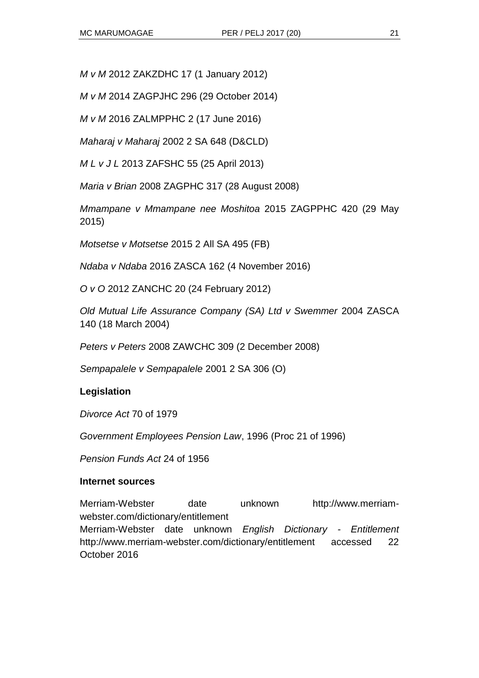*M v M* 2012 ZAKZDHC 17 (1 January 2012)

*M v M* 2014 ZAGPJHC 296 (29 October 2014)

*M v M* 2016 ZALMPPHC 2 (17 June 2016)

*Maharaj v Maharaj* 2002 2 SA 648 (D&CLD)

*M L v J L* 2013 ZAFSHC 55 (25 April 2013)

*Maria v Brian* 2008 ZAGPHC 317 (28 August 2008)

*Mmampane v Mmampane nee Moshitoa* 2015 ZAGPPHC 420 (29 May 2015)

*Motsetse v Motsetse* 2015 2 All SA 495 (FB)

*Ndaba v Ndaba* 2016 ZASCA 162 (4 November 2016)

*O v O* 2012 ZANCHC 20 (24 February 2012)

*Old Mutual Life Assurance Company (SA) Ltd v Swemmer* 2004 ZASCA 140 (18 March 2004)

*Peters v Peters* 2008 ZAWCHC 309 (2 December 2008)

*Sempapalele v Sempapalele* 2001 2 SA 306 (O)

#### **Legislation**

*Divorce Act* 70 of 1979

*Government Employees Pension Law*, 1996 (Proc 21 of 1996)

*Pension Funds Act* 24 of 1956

#### **Internet sources**

Merriam-Webster date unknown http://www.merriamwebster.com/dictionary/entitlement Merriam-Webster date unknown *English Dictionary - Entitlement* http://www.merriam-webster.com/dictionary/entitlement accessed 22 October 2016